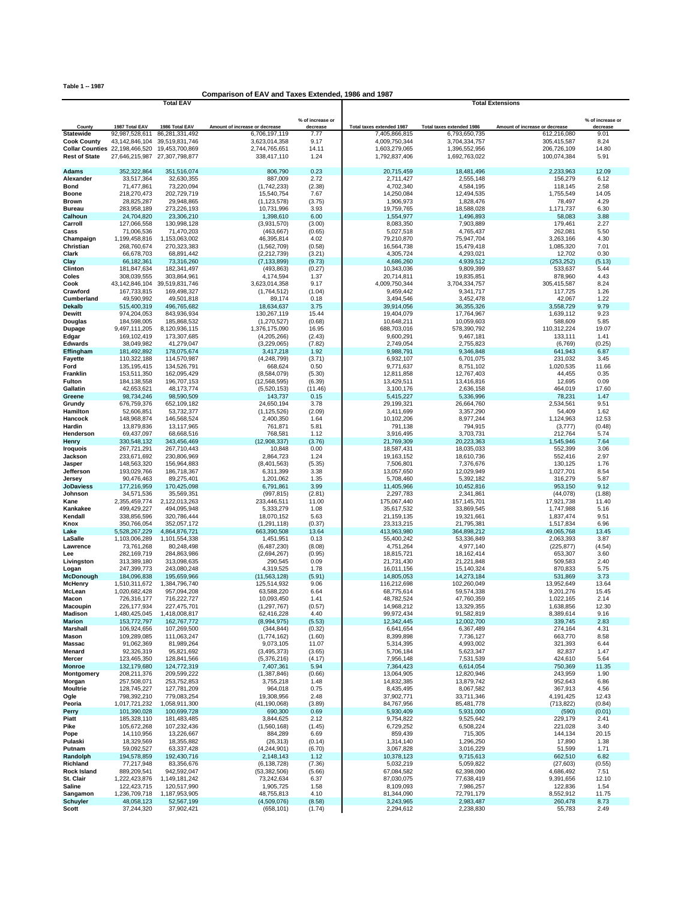**Table 1 -- 1987**

## **Comparison of EAV and Taxes Extended, 1986 and 1987**

|                                       |                               | <b>Total EAV</b>                    |                                |                              | <b>Total Extensions</b>   |                           |                                |                              |  |  |
|---------------------------------------|-------------------------------|-------------------------------------|--------------------------------|------------------------------|---------------------------|---------------------------|--------------------------------|------------------------------|--|--|
|                                       |                               |                                     |                                |                              |                           |                           |                                |                              |  |  |
| County                                | 1987 Total EAV                | 1986 Total EAV                      | Amount of increase or decrease | % of increase or<br>decrease | Total taxes extended 1987 | Total taxes extended 1986 | Amount of increase or decrease | % of increase or<br>decrease |  |  |
| <b>Statewide</b>                      | 92,987,528,611                | 86,281,331,492                      | 6,706,197,119                  | 7.77                         | 7,405,866,815             | 6,793,650,735             | 612,216,080                    | 9.01                         |  |  |
| <b>Cook County</b>                    | 43.142.846.104                | 39.519.831.746                      | 3,623,014,358                  | 9.17                         | 4,009,750,344             | 3,704,334,757             | 305,415,587                    | 8.24                         |  |  |
| <b>Collar Counties</b> 22,198,466,520 |                               | 19,453,700,869                      | 2,744,765,651                  | 14.11                        | 1,603,279,065             | 1,396,552,956             | 206,726,109                    | 14.80                        |  |  |
| <b>Rest of State</b>                  | 27,646,215,987 27,307,798,877 |                                     | 338,417,110                    | 1.24                         | 1,792,837,406             | 1,692,763,022             | 100,074,384                    | 5.91                         |  |  |
| Adams                                 | 352,322,864                   | 351,516,074                         | 806.790                        | 0.23                         | 20,715,459                | 18,481,496                | 2,233,963                      | 12.09                        |  |  |
| Alexander                             | 33,517,364                    | 32,630,355                          | 887,009                        | 2.72                         | 2,711,427                 | 2,555,148                 | 156,279                        | 6.12                         |  |  |
| <b>Bond</b>                           | 71,477,861                    | 73,220,094                          | (1,742,233)                    | (2.38)                       | 4,702,340                 | 4,584,195                 | 118,145                        | 2.58                         |  |  |
| Boone                                 | 218,270,473                   | 202,729,719                         | 15,540,754                     | 7.67                         | 14,250,084                | 12,494,535                | 1,755,549                      | 14.05                        |  |  |
| <b>Brown</b><br>Bureau                | 28,825,287<br>283,958,189     | 29,948,865<br>273,226,193           | (1, 123, 578)<br>10,731,996    | (3.75)<br>3.93               | 1,906,973<br>19,759,765   | 1,828,476<br>18,588,028   | 78,497<br>1,171,737            | 4.29<br>6.30                 |  |  |
| Calhoun                               | 24,704,820                    | 23,306,210                          | 1,398,610                      | 6.00                         | 1,554,977                 | 1,496,893                 | 58,083                         | 3.88                         |  |  |
| Carroll                               | 127,066,558                   | 130,998,128                         | (3,931,570)                    | (3.00)                       | 8,083,350                 | 7,903,889                 | 179,461                        | 2.27                         |  |  |
| Cass                                  | 71,006,536                    | 71,470,203                          | (463, 667)                     | (0.65)                       | 5,027,518                 | 4,765,437                 | 262,081                        | 5.50                         |  |  |
| Champaign                             | 1,199,458,816                 | 1,153,063,002                       | 46,395,814                     | 4.02                         | 79,210,870                | 75,947,704                | 3,263,166                      | 4.30                         |  |  |
| Christian                             | 268,760,674                   | 270,323,383                         | (1,562,709)                    | (0.58)                       | 16,564,738                | 15,479,418                | 1,085,320                      | 7.01                         |  |  |
| Clark<br>Clay                         | 66,678,703<br>66,182,361      | 68,891,442<br>73,316,260            | (2,212,739)<br>(7, 133, 899)   | (3.21)<br>(9.73)             | 4,305,724<br>4,686,260    | 4,293,021<br>4,939,512    | 12,702<br>(253, 252)           | 0.30<br>(5.13)               |  |  |
| Clinton                               | 181,847,634                   | 182,341,497                         | (493, 863)                     | (0.27)                       | 10,343,036                | 9,809,399                 | 533,637                        | 5.44                         |  |  |
| Coles                                 | 308,039,555                   | 303,864,961                         | 4,174,594                      | 1.37                         | 20,714,811                | 19,835,851                | 878,960                        | 4.43                         |  |  |
| Cook                                  |                               | 43, 142, 846, 104 39, 519, 831, 746 | 3,623,014,358                  | 9.17                         | 4,009,750,344             | 3,704,334,757             | 305,415,587                    | 8.24                         |  |  |
| Crawford                              | 167,733,815                   | 169,498,327                         | (1,764,512)                    | (1.04)                       | 9,459,442                 | 9,341,717                 | 117,725                        | 1.26                         |  |  |
| Cumberland                            | 49,590,992                    | 49,501,818                          | 89,174                         | 0.18                         | 3,494,546                 | 3,452,478                 | 42,067                         | 1.22                         |  |  |
| Dekalb<br><b>Dewitt</b>               | 515,400,319<br>974,204,053    | 496,765,682<br>843,936,934          | 18,634,637<br>130,267,119      | 3.75<br>15.44                | 39,914,056<br>19,404,079  | 36,355,326<br>17,764,967  | 3,558,729<br>1,639,112         | 9.79<br>9.23                 |  |  |
| Douglas                               | 184,598,005                   | 185,868,532                         | (1,270,527)                    | (0.68)                       | 10,648,211                | 10,059,603                | 588,609                        | 5.85                         |  |  |
| Dupage                                | 9,497,111,205                 | 8,120,936,115                       | 1,376,175,090                  | 16.95                        | 688,703,016               | 578,390,792               | 110,312,224                    | 19.07                        |  |  |
| Edgar                                 | 169,102,419                   | 173,307,685                         | (4,205,266)                    | (2.43)                       | 9,600,291                 | 9,467,181                 | 133,111                        | 1.41                         |  |  |
| <b>Edwards</b>                        | 38,049,982                    | 41,279,047                          | (3,229,065)                    | (7.82)                       | 2,749,054                 | 2,755,823                 | (6, 769)                       | (0.25)                       |  |  |
| Effingham                             | 181,492,892                   | 178,075,674                         | 3,417,218                      | 1.92                         | 9,988,791                 | 9,346,848                 | 641,943                        | 6.87<br>3.45                 |  |  |
| <b>Fayette</b><br>Ford                | 110,322,188<br>135, 195, 415  | 114,570,987<br>134,526,791          | (4,248,799)<br>668,624         | (3.71)<br>0.50               | 6,932,107<br>9,771,637    | 6,701,075<br>8,751,102    | 231,032<br>1,020,535           | 11.66                        |  |  |
| Franklin                              | 153,511,350                   | 162,095,429                         | (8,584,079)                    | (5.30)                       | 12,811,858                | 12,767,403                | 44,455                         | 0.35                         |  |  |
| Fulton                                | 184, 138, 558                 | 196,707,153                         | (12, 568, 595)                 | (6.39)                       | 13,429,511                | 13,416,816                | 12,695                         | 0.09                         |  |  |
| Gallatin                              | 42,653,621                    | 48,173,774                          | (5,520,153)                    | (11.46)                      | 3,100,176                 | 2,636,158                 | 464,019                        | 17.60                        |  |  |
| Greene                                | 98,734,246                    | 98.590.509                          | 143,737                        | 0.15                         | 5,415,227                 | 5,336,996                 | 78,231                         | 1.47                         |  |  |
| Grundy<br>Hamilton                    | 676,759,376<br>52,606,851     | 652,109,182<br>53,732,377           | 24,650,194<br>(1, 125, 526)    | 3.78<br>(2.09)               | 29,199,321<br>3,411,699   | 26,664,760<br>3,357,290   | 2,534,561<br>54,409            | 9.51<br>1.62                 |  |  |
| Hancock                               | 148,968,874                   | 146,568,524                         | 2,400,350                      | 1.64                         | 10,102,206                | 8,977,244                 | 1,124,963                      | 12.53                        |  |  |
| Hardin                                | 13,879,836                    | 13,117,965                          | 761,871                        | 5.81                         | 791,138                   | 794,915                   | (3,777)                        | (0.48)                       |  |  |
| Henderson                             | 69,437,097                    | 68,668,516                          | 768,581                        | 1.12                         | 3,916,495                 | 3,703,731                 | 212,764                        | 5.74                         |  |  |
| Henry                                 | 330,548,132                   | 343,456,469                         | (12,908,337)                   | (3.76)                       | 21,769,309                | 20,223,363                | 1,545,946                      | 7.64                         |  |  |
| <b>Iroquois</b>                       | 267,721,291                   | 267,710,443                         | 10,848                         | 0.00                         | 18,587,431                | 18,035,033                | 552,399                        | 3.06                         |  |  |
| Jackson<br>Jasper                     | 233,671,692<br>148,563,320    | 230,806,969<br>156,964,883          | 2,864,723<br>(8,401,563)       | 1.24<br>(5.35)               | 19,163,152<br>7,506,801   | 18,610,736<br>7,376,676   | 552,416<br>130,125             | 2.97<br>1.76                 |  |  |
| Jefferson                             | 193,029,766                   | 186,718,367                         | 6,311,399                      | 3.38                         | 13,057,650                | 12,029,949                | 1,027,701                      | 8.54                         |  |  |
| Jersey                                | 90,476,463                    | 89,275,401                          | 1,201,062                      | 1.35                         | 5,708,460                 | 5,392,182                 | 316,279                        | 5.87                         |  |  |
| <b>JoDaviess</b>                      | 177,216,959                   | 170,425,098                         | 6,791,861                      | 3.99                         | 11,405,966                | 10,452,816                | 953,150                        | 9.12                         |  |  |
| Johnson                               | 34,571,536                    | 35,569,351                          | (997, 815)                     | (2.81)                       | 2,297,783                 | 2,341,861                 | (44, 078)                      | (1.88)                       |  |  |
| Kane<br>Kankakee                      | 2,355,459,774<br>499,429,227  | 2,122,013,263<br>494,095,948        | 233,446,511<br>5,333,279       | 11.00<br>1.08                | 175,067,440<br>35,617,532 | 157,145,701<br>33,869,545 | 17,921,738<br>1,747,988        | 11.40<br>5.16                |  |  |
| Kendall                               | 338,856,596                   | 320,786,444                         | 18,070,152                     | 5.63                         | 21, 159, 135              | 19,321,661                | 1,837,474                      | 9.51                         |  |  |
| Knox                                  | 350,766,054                   | 352,057,172                         | (1, 291, 118)                  | (0.37)                       | 23,313,215                | 21,795,381                | 1,517,834                      | 6.96                         |  |  |
| Lake                                  | 5,528,267,229                 | 4,864,876,721                       | 663,390,508                    | 13.64                        | 413,963,980               | 364,898,212               | 49,065,768                     | 13.45                        |  |  |
| LaSalle                               | 1,103,006,289                 | 1,101,554,338                       | 1,451,951                      | 0.13                         | 55,400,242                | 53,336,849                | 2,063,393                      | 3.87                         |  |  |
| Lawrence                              | 73,761,268                    | 80,248,498<br>284,863,986           | (6,487,230)<br>(2,694,267)     | (8.08)<br>(0.95)             | 4,751,264                 | 4,977,140                 | (225, 877)<br>653,307          | (4.54)<br>3.60               |  |  |
| Lee<br>Livingston                     | 282,169,719<br>313,389,180    | 313,098,635                         | 290,545                        | 0.09                         | 18,815,721<br>21,731,430  | 18,162,414<br>21,221,848  | 509,583                        | 2.40                         |  |  |
| Logan                                 | 247,399,773                   | 243,080,248                         | 4,319,525                      | 1.78                         | 16,011,156                | 15,140,324                | 870,833                        | 5.75                         |  |  |
| <b>McDonough</b>                      | 184,096,838                   | 195,659,966                         | (11,563,128)                   | (5.91)                       | 14,805,053                | 14,273,184                | 531,869                        | 3.73                         |  |  |
| <b>McHenry</b>                        | 1,510,311,672                 | 1,384,796,740                       | 125,514,932                    | 9.06                         | 116,212,698               | 102,260,049               | 13,952,649                     | 13.64                        |  |  |
| McLean<br>Macon                       | 1,020,682,428<br>726,316,177  | 957,094,208<br>716,222,727          | 63,588,220<br>10,093,450       | 6.64<br>1.41                 | 68,775,614<br>48,782,524  | 59,574,338<br>47,760,359  | 9,201,276<br>1,022,165         | 15.45<br>2.14                |  |  |
| <b>Macoupin</b>                       | 226, 177, 934                 | 227,475,701                         | (1, 297, 767)                  | (0.57)                       | 14,968,212                | 13,329,355                | 1,638,856                      | 12.30                        |  |  |
| Madison                               | 1,480,425,045                 | 1,418,008,817                       | 62,416,228                     | 4.40                         | 99,972,434                | 91,582,819                | 8,389,614                      | 9.16                         |  |  |
| <b>Marion</b>                         | 153,772,797                   | 162,767,772                         | (8,994,975)                    | (5.53)                       | 12,342,445                | 12,002,700                | 339,745                        | 2.83                         |  |  |
| <b>Marshall</b>                       | 106,924,656                   | 107,269,500                         | (344, 844)                     | (0.32)                       | 6,641,654                 | 6,367,489                 | 274,164                        | 4.31                         |  |  |
| Mason                                 | 109,289,085                   | 111,063,247                         | (1,774,162)                    | (1.60)                       | 8,399,898                 | 7,736,127                 | 663,770                        | 8.58                         |  |  |
| Massac<br>Menard                      | 91,062,369<br>92,326,319      | 81,989,264<br>95,821,692            | 9,073,105<br>(3, 495, 373)     | 11.07<br>(3.65)              | 5,314,395<br>5,706,184    | 4,993,002<br>5,623,347    | 321,393<br>82,837              | 6.44<br>1.47                 |  |  |
| Mercer                                | 123,465,350                   | 128,841,566                         | (5,376,216)                    | (4.17)                       | 7,956,148                 | 7,531,539                 | 424,610                        | 5.64                         |  |  |
| <b>Monroe</b>                         | 132,179,680                   | 124,772,319                         | 7,407,361                      | 5.94                         | 7,364,423                 | 6,614,054                 | 750,369                        | 11.35                        |  |  |
| Montgomery                            | 208,211,376                   | 209,599,222                         | (1,387,846)                    | (0.66)                       | 13,064,905                | 12,820,946                | 243,959                        | 1.90                         |  |  |
| Morgan                                | 257,508,071                   | 253,752,853                         | 3,755,218                      | 1.48                         | 14,832,385                | 13,879,742                | 952,643                        | 6.86                         |  |  |
| <b>Moultrie</b><br>Ogle               | 128,745,227<br>798,392,210    | 127,781,209<br>779,083,254          | 964,018<br>19,308,956          | 0.75<br>2.48                 | 8,435,495<br>37,902,771   | 8,067,582<br>33,711,346   | 367,913<br>4,191,425           | 4.56<br>12.43                |  |  |
| Peoria                                | 1,017,721,232                 | 1,058,911,300                       | (41, 190, 068)                 | (3.89)                       | 84,767,956                | 85,481,778                | (713, 822)                     | (0.84)                       |  |  |
| Perry                                 | 101,390,028                   | 100,699,728                         | 690,300                        | 0.69                         | 5,930,409                 | 5,931,000                 | (590)                          | (0.01)                       |  |  |
| Piatt                                 | 185,328,110                   | 181,483,485                         | 3,844,625                      | 2.12                         | 9,754,822                 | 9,525,642                 | 229,179                        | 2.41                         |  |  |
| Pike                                  | 105,672,268                   | 107,232,436                         | (1,560,168)                    | (1.45)                       | 6,729,252                 | 6,508,224                 | 221,028                        | 3.40                         |  |  |
| Pope                                  | 14,110,956                    | 13,226,667                          | 884,289                        | 6.69                         | 859,439                   | 715,305                   | 144,134                        | 20.15                        |  |  |
| Pulaski<br>Putnam                     | 18,329,569<br>59,092,527      | 18,355,882<br>63,337,428            | (26, 313)<br>(4,244,901)       | (0.14)<br>(6.70)             | 1,314,140<br>3,067,828    | 1,296,250<br>3,016,229    | 17,890<br>51,599               | 1.38<br>1.71                 |  |  |
| Randolph                              | 194,578,859                   | 192,430,716                         | 2,148,143                      | 1.12                         | 10,378,123                | 9,715,613                 | 662,510                        | 6.82                         |  |  |
| Richland                              | 77,217,948                    | 83,356,676                          | (6, 138, 728)                  | (7.36)                       | 5,032,219                 | 5,059,822                 | (27, 603)                      | (0.55)                       |  |  |
| <b>Rock Island</b>                    | 889,209,541                   | 942,592,047                         | (53, 382, 506)                 | (5.66)                       | 67,084,582                | 62,398,090                | 4,686,492                      | 7.51                         |  |  |
| St. Clair                             | 1,222,423,876                 | 1,149,181,242                       | 73,242,634                     | 6.37                         | 87,030,075                | 77,638,419                | 9,391,656                      | 12.10                        |  |  |
| Saline<br>Sangamon                    | 122,423,715<br>1,236,709,718  | 120,517,990<br>1,187,953,905        | 1,905,725<br>48,755,813        | 1.58<br>4.10                 | 8,109,093<br>81,344,090   | 7,986,257<br>72,791,179   | 122,836<br>8,552,912           | 1.54<br>11.75                |  |  |
| <b>Schuyler</b>                       | 48,058,123                    | 52,567,199                          | (4,509,076)                    | (8.58)                       | 3,243,965                 | 2,983,487                 | 260,478                        | 8.73                         |  |  |
| <b>Scott</b>                          | 37,244,320                    | 37,902,421                          | (658, 101)                     | (1.74)                       | 2,294,612                 | 2,238,830                 | 55,783                         | 2.49                         |  |  |
|                                       |                               |                                     |                                |                              |                           |                           |                                |                              |  |  |